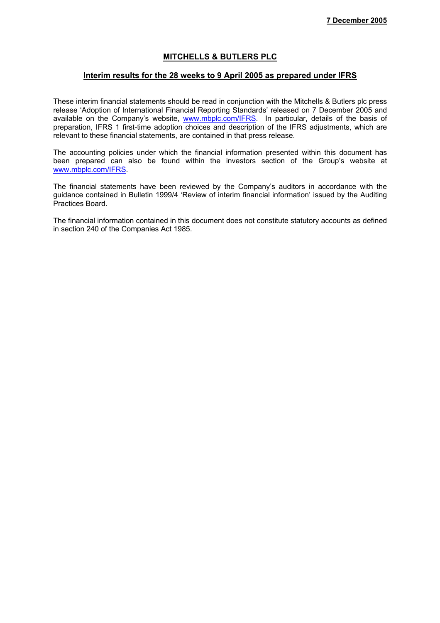### **MITCHELLS & BUTLERS PLC**

#### **Interim results for the 28 weeks to 9 April 2005 as prepared under IFRS**

These interim financial statements should be read in conjunction with the Mitchells & Butlers plc press release 'Adoption of International Financial Reporting Standards' released on 7 December 2005 and available on the Company's website, www.mbplc.com/IFRS. In particular, details of the basis of preparation, IFRS 1 first-time adoption choices and description of the IFRS adjustments, which are relevant to these financial statements, are contained in that press release.

The accounting policies under which the financial information presented within this document has been prepared can also be found within the investors section of the Group's website at www.mbplc.com/IFRS.

The financial statements have been reviewed by the Company's auditors in accordance with the guidance contained in Bulletin 1999/4 'Review of interim financial information' issued by the Auditing Practices Board.

The financial information contained in this document does not constitute statutory accounts as defined in section 240 of the Companies Act 1985.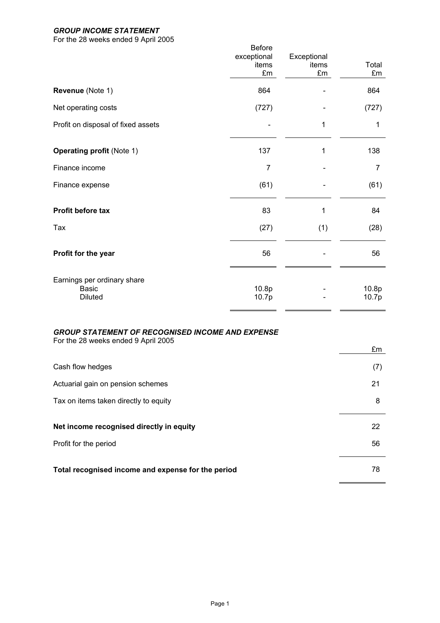## *GROUP INCOME STATEMENT*

For the 28 weeks ended 9 April 2005

|                                                               | <b>Before</b>        |                      |                |
|---------------------------------------------------------------|----------------------|----------------------|----------------|
|                                                               | exceptional<br>items | Exceptional<br>items | Total          |
|                                                               | £m                   | £m                   | £m             |
| Revenue (Note 1)                                              | 864                  |                      | 864            |
| Net operating costs                                           | (727)                |                      | (727)          |
| Profit on disposal of fixed assets                            |                      | 1                    | 1              |
| <b>Operating profit (Note 1)</b>                              | 137                  | 1                    | 138            |
| Finance income                                                | $\overline{7}$       |                      | $\overline{7}$ |
| Finance expense                                               | (61)                 |                      | (61)           |
| Profit before tax                                             | 83                   | 1                    | 84             |
| Tax                                                           | (27)                 | (1)                  | (28)           |
| Profit for the year                                           | 56                   |                      | 56             |
| Earnings per ordinary share<br><b>Basic</b><br><b>Diluted</b> | 10.8p<br>10.7p       |                      | 10.8p<br>10.7p |
|                                                               |                      |                      |                |

# *GROUP STATEMENT OF RECOGNISED INCOME AND EXPENSE*

For the 28 weeks ended 9 April 2005

|                                                    | £m  |
|----------------------------------------------------|-----|
| Cash flow hedges                                   | (7) |
| Actuarial gain on pension schemes                  | 21  |
| Tax on items taken directly to equity              | 8   |
|                                                    |     |
| Net income recognised directly in equity           | 22  |
| Profit for the period                              | 56  |
|                                                    |     |
| Total recognised income and expense for the period | 78  |

 $\blacksquare$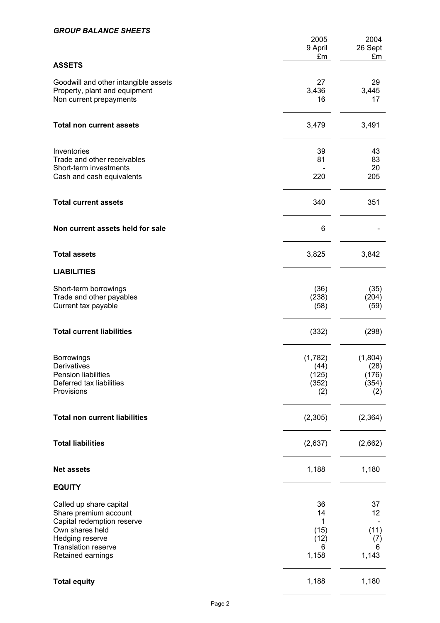### *GROUP BALANCE SHEETS*

|                                                                                                                                                                  | 2005<br>9 April<br>£m                       | 2004<br>26 Sept<br>£m                    |
|------------------------------------------------------------------------------------------------------------------------------------------------------------------|---------------------------------------------|------------------------------------------|
| <b>ASSETS</b>                                                                                                                                                    |                                             |                                          |
| Goodwill and other intangible assets<br>Property, plant and equipment<br>Non current prepayments                                                                 | 27<br>3,436<br>16                           | 29<br>3,445<br>17                        |
| <b>Total non current assets</b>                                                                                                                                  | 3,479                                       | 3,491                                    |
| Inventories<br>Trade and other receivables<br>Short-term investments<br>Cash and cash equivalents                                                                | 39<br>81<br>220                             | 43<br>83<br>20<br>205                    |
| <b>Total current assets</b>                                                                                                                                      | 340                                         | 351                                      |
| Non current assets held for sale                                                                                                                                 | 6                                           |                                          |
| <b>Total assets</b>                                                                                                                                              | 3,825                                       | 3,842                                    |
| <b>LIABILITIES</b>                                                                                                                                               |                                             |                                          |
| Short-term borrowings<br>Trade and other payables<br>Current tax payable                                                                                         | (36)<br>(238)<br>(58)                       | (35)<br>(204)<br>(59)                    |
| <b>Total current liabilities</b>                                                                                                                                 | (332)                                       | (298)                                    |
| <b>Borrowings</b><br>Derivatives<br>Pension liabilities<br>Deferred tax liabilities<br>Provisions                                                                | (1,782)<br>(44)<br>(125)<br>(352)<br>(2)    | (1,804)<br>(28)<br>(176)<br>(354)<br>(2) |
| <b>Total non current liabilities</b>                                                                                                                             | (2,305)                                     | (2, 364)                                 |
| <b>Total liabilities</b>                                                                                                                                         | (2,637)                                     | (2,662)                                  |
| <b>Net assets</b>                                                                                                                                                | 1,188                                       | 1,180                                    |
| <b>EQUITY</b>                                                                                                                                                    |                                             |                                          |
| Called up share capital<br>Share premium account<br>Capital redemption reserve<br>Own shares held<br>Hedging reserve<br>Translation reserve<br>Retained earnings | 36<br>14<br>1<br>(15)<br>(12)<br>6<br>1,158 | 37<br>12<br>(11)<br>(7)<br>6<br>1,143    |
| <b>Total equity</b>                                                                                                                                              | 1,188                                       | 1,180                                    |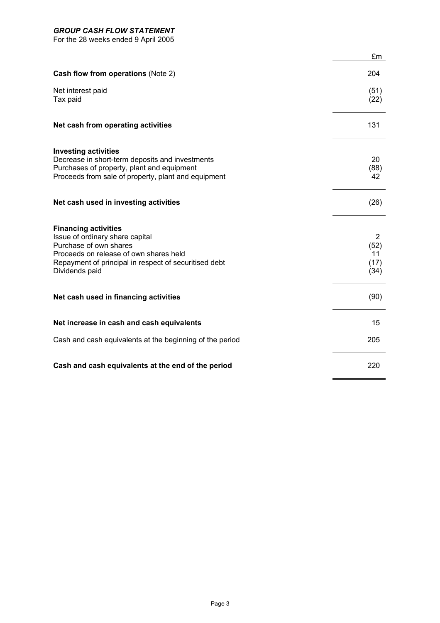### *GROUP CASH FLOW STATEMENT*

For the 28 weeks ended 9 April 2005

|                                                                                                                                                                                                               | £m                                           |
|---------------------------------------------------------------------------------------------------------------------------------------------------------------------------------------------------------------|----------------------------------------------|
| Cash flow from operations (Note 2)                                                                                                                                                                            | 204                                          |
| Net interest paid<br>Tax paid                                                                                                                                                                                 | (51)<br>(22)                                 |
| Net cash from operating activities                                                                                                                                                                            | 131                                          |
| <b>Investing activities</b><br>Decrease in short-term deposits and investments<br>Purchases of property, plant and equipment<br>Proceeds from sale of property, plant and equipment                           | 20<br>(88)<br>42                             |
| Net cash used in investing activities                                                                                                                                                                         | (26)                                         |
| <b>Financing activities</b><br>Issue of ordinary share capital<br>Purchase of own shares<br>Proceeds on release of own shares held<br>Repayment of principal in respect of securitised debt<br>Dividends paid | $\overline{2}$<br>(52)<br>11<br>(17)<br>(34) |
| Net cash used in financing activities                                                                                                                                                                         | (90)                                         |
| Net increase in cash and cash equivalents                                                                                                                                                                     | 15                                           |
| Cash and cash equivalents at the beginning of the period                                                                                                                                                      | 205                                          |
| Cash and cash equivalents at the end of the period                                                                                                                                                            | 220                                          |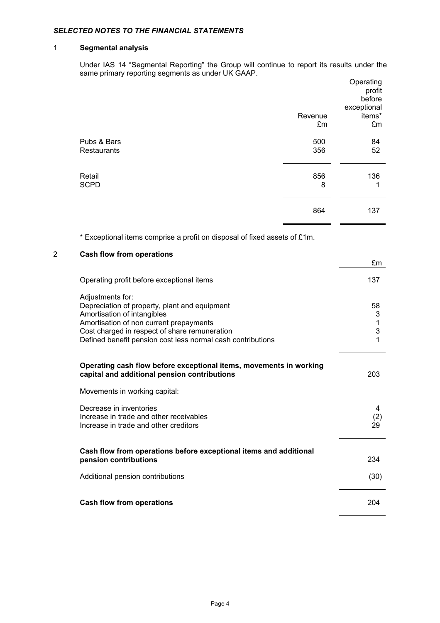### *SELECTED NOTES TO THE FINANCIAL STATEMENTS*

### 1 **Segmental analysis**

Under IAS 14 "Segmental Reporting" the Group will continue to report its results under the same primary reporting segments as under UK GAAP.

|                            |            | Operating<br>profit<br>before<br>exceptional |
|----------------------------|------------|----------------------------------------------|
|                            | Revenue    | items*                                       |
|                            | £m         | £m                                           |
| Pubs & Bars<br>Restaurants | 500<br>356 | 84<br>52                                     |
| Retail<br><b>SCPD</b>      | 856<br>8   | 136<br>1                                     |
|                            | 864        | 137                                          |

£m

\* Exceptional items comprise a profit on disposal of fixed assets of £1m.

#### 2 **Cash flow from operations**

| Operating profit before exceptional items                                                                                                                                                                                                                   | 137                    |
|-------------------------------------------------------------------------------------------------------------------------------------------------------------------------------------------------------------------------------------------------------------|------------------------|
| Adjustments for:<br>Depreciation of property, plant and equipment<br>Amortisation of intangibles<br>Amortisation of non current prepayments<br>Cost charged in respect of share remuneration<br>Defined benefit pension cost less normal cash contributions | 58<br>3<br>1<br>3<br>1 |
| Operating cash flow before exceptional items, movements in working<br>capital and additional pension contributions                                                                                                                                          | 203                    |
| Movements in working capital:                                                                                                                                                                                                                               |                        |
| Decrease in inventories<br>Increase in trade and other receivables<br>Increase in trade and other creditors                                                                                                                                                 | 4<br>(2)<br>29         |
| Cash flow from operations before exceptional items and additional<br>pension contributions                                                                                                                                                                  | 234                    |
| Additional pension contributions                                                                                                                                                                                                                            | (30)                   |
| <b>Cash flow from operations</b>                                                                                                                                                                                                                            | 204                    |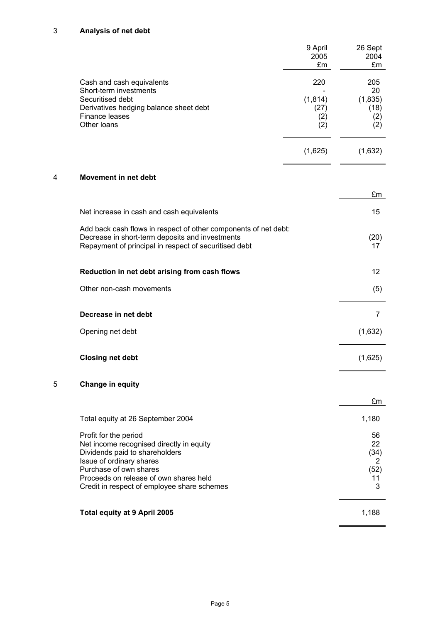# 3 **Analysis of net debt**

|                                                                                                                                                                             | 9 April<br>2005<br>£m          | 26 Sept<br>2004<br>£m          |
|-----------------------------------------------------------------------------------------------------------------------------------------------------------------------------|--------------------------------|--------------------------------|
| Cash and cash equivalents<br>Short-term investments                                                                                                                         | 220                            | 205<br>20                      |
| Securitised debt<br>Derivatives hedging balance sheet debt<br>Finance leases<br>Other loans                                                                                 | (1, 814)<br>(27)<br>(2)<br>(2) | (1, 835)<br>(18)<br>(2)<br>(2) |
|                                                                                                                                                                             | (1,625)                        | (1,632)                        |
| <b>Movement in net debt</b><br>4                                                                                                                                            |                                |                                |
|                                                                                                                                                                             |                                | £m                             |
| Net increase in cash and cash equivalents                                                                                                                                   |                                | 15                             |
| Add back cash flows in respect of other components of net debt:<br>Decrease in short-term deposits and investments<br>Repayment of principal in respect of securitised debt |                                | (20)<br>17                     |
| Reduction in net debt arising from cash flows                                                                                                                               |                                | 12                             |
| Other non-cash movements                                                                                                                                                    |                                | (5)                            |
| Decrease in net debt                                                                                                                                                        |                                | 7                              |
| Opening net debt                                                                                                                                                            |                                | (1,632)                        |
| <b>Closing net debt</b>                                                                                                                                                     |                                | (1,625)                        |
| 5<br><b>Change in equity</b>                                                                                                                                                |                                |                                |
|                                                                                                                                                                             |                                | £m                             |
| Total equity at 26 September 2004                                                                                                                                           |                                | 1,180                          |
| Profit for the period                                                                                                                                                       |                                | 56<br>22                       |
| Net income recognised directly in equity<br>Dividends paid to shareholders                                                                                                  |                                | (34)                           |
| Issue of ordinary shares<br>Purchase of own shares                                                                                                                          |                                | 2<br>(52)                      |
| Proceeds on release of own shares held<br>Credit in respect of employee share schemes                                                                                       |                                | 11<br>3                        |
| <b>Total equity at 9 April 2005</b>                                                                                                                                         |                                | 1,188                          |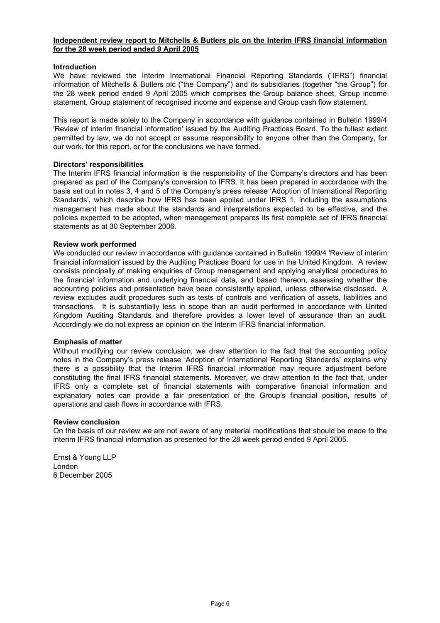#### **Independent review report to Mitchells & Butlers plc on the Interim IFRS financial information for the 28 week period ended 9 April 2005**

#### **Introduction**

We have reviewed the Interim International Financial Reporting Standards ("IFRS") financial information of Mitchells & Butlers plc ("the Company") and its subsidiaries (together "the Group") for the 28 week period ended 9 April 2005 which comprises the Group balance sheet, Group income statement, Group statement of recognised income and expense and Group cash flow statement.

This report is made solely to the Company in accordance with guidance contained in Bulletin 1999/4 'Review of interim financial information' issued by the Auditing Practices Board. To the fullest extent permitted by law, we do not accept or assume responsibility to anyone other than the Company, for our work, for this report, or for the conclusions we have formed.

#### **Directors' responsibilities**

The Interim IFRS financial information is the responsibility of the Company's directors and has been prepared as part of the Company's conversion to IFRS. It has been prepared in accordance with the basis set out in notes 3, 4 and 5 of the Company's press release 'Adoption of International Reporting Standards', which describe how IFRS has been applied under IFRS 1, including the assumptions management has made about the standards and interpretations expected to be effective, and the policies expected to be adopted, when management prepares its first complete set of IFRS financial statements as at 30 September 2006.

#### **Review work performed**

We conducted our review in accordance with guidance contained in Bulletin 1999/4 'Review of interim financial information' issued by the Auditing Practices Board for use in the United Kingdom. A review consists principally of making enquiries of Group management and applying analytical procedures to the financial information and underlying financial data, and based thereon, assessing whether the accounting policies and presentation have been consistently applied, unless otherwise disclosed. A review excludes audit procedures such as tests of controls and verification of assets, liabilities and transactions. It is substantially less in scope than an audit performed in accordance with United Kingdom Auditing Standards and therefore provides a lower level of assurance than an audit. Accordingly we do not express an opinion on the Interim IFRS financial information.

#### **Emphasis of matter**

Without modifying our review conclusion, we draw attention to the fact that the accounting policy notes in the Company's press release 'Adoption of International Reporting Standards' explains why there is a possibility that the Interim IFRS financial information may require adjustment before constituting the final IFRS financial statements. Moreover, we draw attention to the fact that, under IFRS only a complete set of financial statements with comparative financial information and explanatory notes can provide a fair presentation of the Group's financial position, results of operations and cash flows in accordance with IFRS.

#### **Review conclusion**

On the basis of our review we are not aware of any material modifications that should be made to the interim IFRS financial information as presented for the 28 week period ended 9 April 2005.

Ernst & Young LLP London 6 December 2005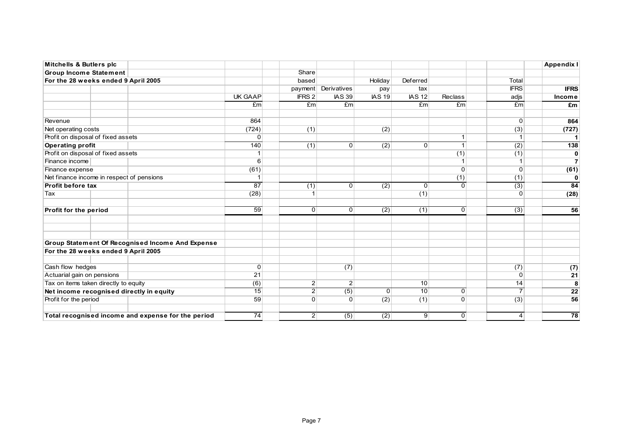| <b>Mitchells &amp; Butlers plc</b>        |  |                                                    |                  |                 |                  |                  |                |                |                  | <b>Appendix I</b> |
|-------------------------------------------|--|----------------------------------------------------|------------------|-----------------|------------------|------------------|----------------|----------------|------------------|-------------------|
| <b>Group Income Statement</b>             |  |                                                    |                  | Share           |                  |                  |                |                |                  |                   |
| For the 28 weeks ended 9 April 2005       |  |                                                    |                  | based           |                  | Holiday          | Deferred       |                | Total            |                   |
|                                           |  |                                                    |                  | payment         | Derivatives      | pay              | tax            |                | <b>IFRS</b>      | <b>IFRS</b>       |
|                                           |  |                                                    | UK GAAP          | <b>IFRS 2</b>   | <b>IAS 39</b>    | <b>IAS 19</b>    | <b>IAS 12</b>  | Reclass        | adjs             | Income            |
|                                           |  |                                                    | E <sub>m</sub>   | Em <sub>l</sub> | Em               |                  | Eml            | Em             | E <sub>m</sub>   | £m                |
| Revenue                                   |  |                                                    | 864              |                 |                  |                  |                |                | $\Omega$         | 864               |
| Net operating costs                       |  |                                                    | (724)            | (1)             |                  | (2)              |                |                | (3)              | (727)             |
| Profit on disposal of fixed assets        |  |                                                    | $\overline{0}$   |                 |                  |                  |                |                |                  | $\mathbf 1$       |
| <b>Operating profit</b>                   |  |                                                    | 140              | (1)             | $\Omega$         | (2)              | $\Omega$       | $\mathbf{1}$   | $\overline{(2)}$ | 138               |
| Profit on disposal of fixed assets        |  |                                                    | 1                |                 |                  |                  |                | (1)            | (1)              | 0                 |
| Finance income                            |  |                                                    | $6 \overline{6}$ |                 |                  |                  |                |                |                  | $\overline{7}$    |
| Finance expense                           |  |                                                    | (61)             |                 |                  |                  |                | $\Omega$       | $\Omega$         | (61)              |
| Net finance income in respect of pensions |  |                                                    |                  |                 |                  |                  |                | (1)            | (1)              | 0                 |
| Profit before tax                         |  |                                                    | 87               | (1)             | $\Omega$         | (2)              | $\Omega$       | $\overline{0}$ | (3)              | 84                |
| Tax                                       |  |                                                    | (28)             |                 |                  |                  | (1)            |                | $\Omega$         | (28)              |
| Profit for the period                     |  |                                                    | $\overline{59}$  | $\Omega$        | $\Omega$         | (2)              | (1)            | $\Omega$       | $\overline{(3)}$ | 56                |
|                                           |  | Group Statement Of Recognised Income And Expense   |                  |                 |                  |                  |                |                |                  |                   |
| For the 28 weeks ended 9 April 2005       |  |                                                    |                  |                 |                  |                  |                |                |                  |                   |
|                                           |  |                                                    |                  |                 |                  |                  |                |                |                  |                   |
| Cash flow hedges                          |  |                                                    | $\Omega$         |                 | (7)              |                  |                |                | (7)              | (7)               |
| Actuarial gain on pensions                |  |                                                    | 21               |                 |                  |                  |                |                | $\Omega$         | $\overline{21}$   |
| Tax on items taken directly to equity     |  |                                                    | (6)              | 2               | $\overline{2}$   |                  | 10             |                | 14               | 8                 |
|                                           |  | Net income recognised directly in equity           | $\overline{15}$  | $\mathbf{2}$    | $\overline{(5)}$ | $\Omega$         | 10             | $\Omega$       | $\overline{7}$   | $\overline{22}$   |
| Profit for the period                     |  |                                                    | 59               | $\Omega$        | $\Omega$         | (2)              | (1)            | $\mathbf{0}$   | (3)              | 56                |
|                                           |  | Total recognised income and expense for the period | $\overline{74}$  | 2               | $\overline{(5)}$ | $\overline{(2)}$ | 9 <sup>°</sup> | $\overline{0}$ | $\vert 4 \vert$  | $\overline{78}$   |